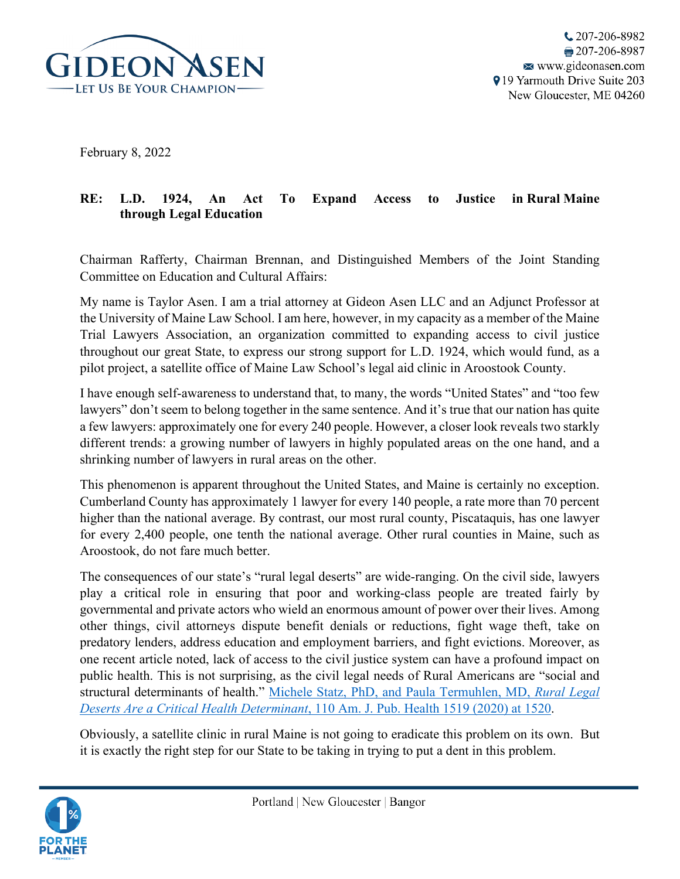

February 8, 2022

## **RE: L.D. 1924, An Act To Expand Access to Justice in Rural Maine through Legal Education**

Chairman Rafferty, Chairman Brennan, and Distinguished Members of the Joint Standing Committee on Education and Cultural Affairs:

My name is Taylor Asen. I am a trial attorney at Gideon Asen LLC and an Adjunct Professor at the University of Maine Law School. I am here, however, in my capacity as a member of the Maine Trial Lawyers Association, an organization committed to expanding access to civil justice throughout our great State, to express our strong support for L.D. 1924, which would fund, as a pilot project, a satellite office of Maine Law School's legal aid clinic in Aroostook County.

I have enough self-awareness to understand that, to many, the words "United States" and "too few lawyers" don't seem to belong together in the same sentence. And it's true that our nation has quite a few lawyers: approximately one for every 240 people. However, a closer look reveals two starkly different trends: a growing number of lawyers in highly populated areas on the one hand, and a shrinking number of lawyers in rural areas on the other.

This phenomenon is apparent throughout the United States, and Maine is certainly no exception. Cumberland County has approximately 1 lawyer for every 140 people, a rate more than 70 percent higher than the national average. By contrast, our most rural county, Piscataquis, has one lawyer for every 2,400 people, one tenth the national average. Other rural counties in Maine, such as Aroostook, do not fare much better.

The consequences of our state's "rural legal deserts" are wide-ranging. On the civil side, lawyers play a critical role in ensuring that poor and working-class people are treated fairly by governmental and private actors who wield an enormous amount of power over their lives. Among other things, civil attorneys dispute benefit denials or reductions, fight wage theft, take on predatory lenders, address education and employment barriers, and fight evictions. Moreover, as one recent article noted, lack of access to the civil justice system can have a profound impact on public health. This is not surprising, as the civil legal needs of Rural Americans are "social and structural determinants of health." [Michele Statz, PhD, and Paula Termuhlen, MD,](https://ajph.aphapublications.org/doi/pdf/10.2105/AJPH.2020.305807) *Rural Legal [Deserts Are a Critical Health Determinant](https://ajph.aphapublications.org/doi/pdf/10.2105/AJPH.2020.305807)*, 110 Am. J. Pub. Health 1519 (2020) at 1520.

Obviously, a satellite clinic in rural Maine is not going to eradicate this problem on its own. But it is exactly the right step for our State to be taking in trying to put a dent in this problem.